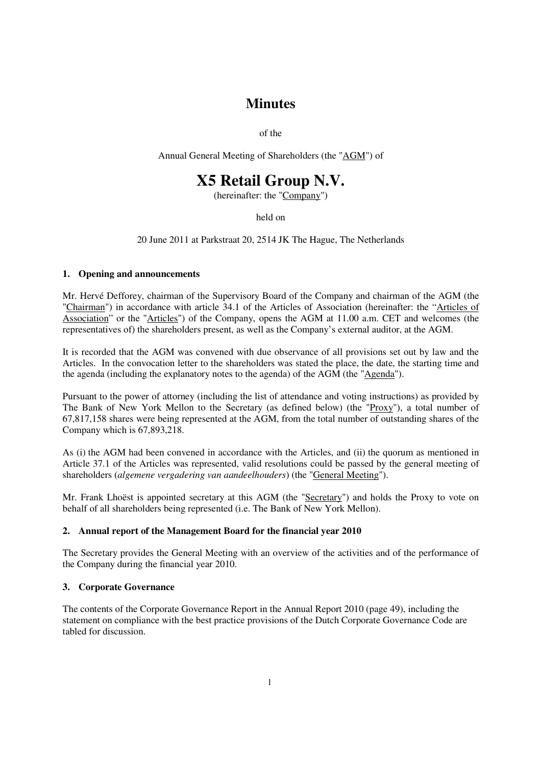# **Minutes**

of the

Annual General Meeting of Shareholders (the "AGM") of

# **X5 Retail Group N.V.**

(hereinafter: the "Company")

held on

20 June 2011 at Parkstraat 20, 2514 JK The Hague, The Netherlands

# **1. Opening and announcements**

Mr. Hervé Defforey, chairman of the Supervisory Board of the Company and chairman of the AGM (the "Chairman") in accordance with article 34.1 of the Articles of Association (hereinafter: the "Articles of Association" or the "Articles") of the Company, opens the AGM at 11.00 a.m. CET and welcomes (the representatives of) the shareholders present, as well as the Company's external auditor, at the AGM.

It is recorded that the AGM was convened with due observance of all provisions set out by law and the Articles. In the convocation letter to the shareholders was stated the place, the date, the starting time and the agenda (including the explanatory notes to the agenda) of the AGM (the "Agenda").

Pursuant to the power of attorney (including the list of attendance and voting instructions) as provided by The Bank of New York Mellon to the Secretary (as defined below) (the "Proxy"), a total number of 67,817,158 shares were being represented at the AGM, from the total number of outstanding shares of the Company which is 67,893,218.

As (i) the AGM had been convened in accordance with the Articles, and (ii) the quorum as mentioned in Article 37.1 of the Articles was represented, valid resolutions could be passed by the general meeting of shareholders (*algemene vergadering van aandeelhouders*) (the "General Meeting").

Mr. Frank Lhoëst is appointed secretary at this AGM (the "Secretary") and holds the Proxy to vote on behalf of all shareholders being represented (i.e. The Bank of New York Mellon).

# **2. Annual report of the Management Board for the financial year 2010**

The Secretary provides the General Meeting with an overview of the activities and of the performance of the Company during the financial year 2010.

# **3. Corporate Governance**

The contents of the Corporate Governance Report in the Annual Report 2010 (page 49), including the statement on compliance with the best practice provisions of the Dutch Corporate Governance Code are tabled for discussion.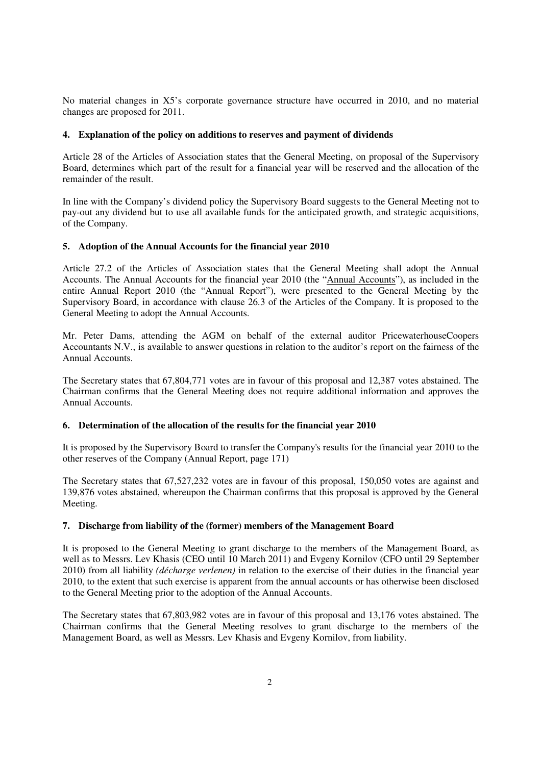No material changes in X5's corporate governance structure have occurred in 2010, and no material changes are proposed for 2011.

### **4. Explanation of the policy on additions to reserves and payment of dividends**

Article 28 of the Articles of Association states that the General Meeting, on proposal of the Supervisory Board, determines which part of the result for a financial year will be reserved and the allocation of the remainder of the result.

In line with the Company's dividend policy the Supervisory Board suggests to the General Meeting not to pay-out any dividend but to use all available funds for the anticipated growth, and strategic acquisitions, of the Company.

# **5. Adoption of the Annual Accounts for the financial year 2010**

Article 27.2 of the Articles of Association states that the General Meeting shall adopt the Annual Accounts. The Annual Accounts for the financial year 2010 (the "Annual Accounts"), as included in the entire Annual Report 2010 (the "Annual Report"), were presented to the General Meeting by the Supervisory Board, in accordance with clause 26.3 of the Articles of the Company. It is proposed to the General Meeting to adopt the Annual Accounts.

Mr. Peter Dams, attending the AGM on behalf of the external auditor PricewaterhouseCoopers Accountants N.V., is available to answer questions in relation to the auditor's report on the fairness of the Annual Accounts.

The Secretary states that 67,804,771 votes are in favour of this proposal and 12,387 votes abstained. The Chairman confirms that the General Meeting does not require additional information and approves the Annual Accounts.

#### **6. Determination of the allocation of the results for the financial year 2010**

It is proposed by the Supervisory Board to transfer the Company's results for the financial year 2010 to the other reserves of the Company (Annual Report, page 171)

The Secretary states that 67,527,232 votes are in favour of this proposal, 150,050 votes are against and 139,876 votes abstained, whereupon the Chairman confirms that this proposal is approved by the General Meeting.

# **7. Discharge from liability of the (former) members of the Management Board**

It is proposed to the General Meeting to grant discharge to the members of the Management Board, as well as to Messrs. Lev Khasis (CEO until 10 March 2011) and Evgeny Kornilov (CFO until 29 September 2010) from all liability *(décharge verlenen)* in relation to the exercise of their duties in the financial year 2010, to the extent that such exercise is apparent from the annual accounts or has otherwise been disclosed to the General Meeting prior to the adoption of the Annual Accounts.

The Secretary states that 67,803,982 votes are in favour of this proposal and 13,176 votes abstained. The Chairman confirms that the General Meeting resolves to grant discharge to the members of the Management Board, as well as Messrs. Lev Khasis and Evgeny Kornilov, from liability.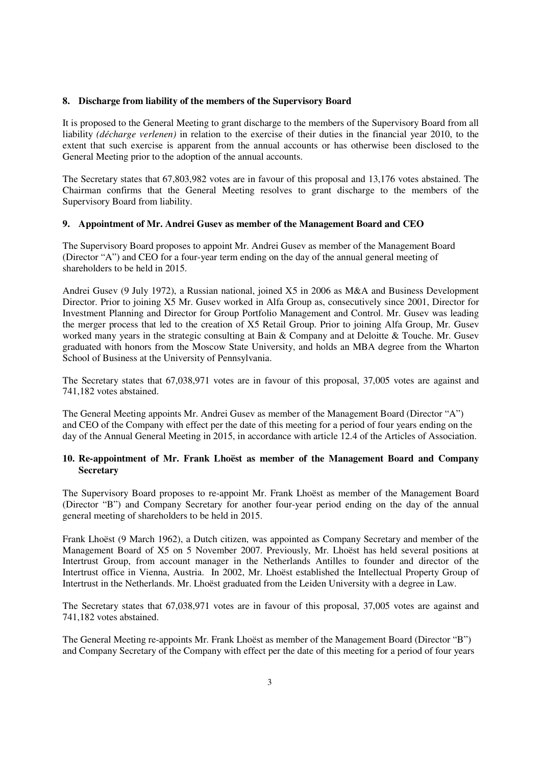#### **8. Discharge from liability of the members of the Supervisory Board**

It is proposed to the General Meeting to grant discharge to the members of the Supervisory Board from all liability *(décharge verlenen)* in relation to the exercise of their duties in the financial year 2010, to the extent that such exercise is apparent from the annual accounts or has otherwise been disclosed to the General Meeting prior to the adoption of the annual accounts.

The Secretary states that 67,803,982 votes are in favour of this proposal and 13,176 votes abstained. The Chairman confirms that the General Meeting resolves to grant discharge to the members of the Supervisory Board from liability.

#### **9. Appointment of Mr. Andrei Gusev as member of the Management Board and CEO**

The Supervisory Board proposes to appoint Mr. Andrei Gusev as member of the Management Board (Director "A") and CEO for a four-year term ending on the day of the annual general meeting of shareholders to be held in 2015.

Andrei Gusev (9 July 1972), a Russian national, joined X5 in 2006 as M&A and Business Development Director. Prior to joining X5 Mr. Gusev worked in Alfa Group as, consecutively since 2001, Director for Investment Planning and Director for Group Portfolio Management and Control. Mr. Gusev was leading the merger process that led to the creation of X5 Retail Group. Prior to joining Alfa Group, Mr. Gusev worked many years in the strategic consulting at Bain & Company and at Deloitte & Touche. Mr. Gusev graduated with honors from the Moscow State University, and holds an MBA degree from the Wharton School of Business at the University of Pennsylvania.

The Secretary states that 67,038,971 votes are in favour of this proposal, 37,005 votes are against and 741,182 votes abstained.

The General Meeting appoints Mr. Andrei Gusev as member of the Management Board (Director "A") and CEO of the Company with effect per the date of this meeting for a period of four years ending on the day of the Annual General Meeting in 2015, in accordance with article 12.4 of the Articles of Association.

# **10. Re-appointment of Mr. Frank Lhoëst as member of the Management Board and Company Secretary**

The Supervisory Board proposes to re-appoint Mr. Frank Lhoëst as member of the Management Board (Director "B") and Company Secretary for another four-year period ending on the day of the annual general meeting of shareholders to be held in 2015.

Frank Lhoëst (9 March 1962), a Dutch citizen, was appointed as Company Secretary and member of the Management Board of X5 on 5 November 2007. Previously, Mr. Lhoëst has held several positions at Intertrust Group, from account manager in the Netherlands Antilles to founder and director of the Intertrust office in Vienna, Austria. In 2002, Mr. Lhoëst established the Intellectual Property Group of Intertrust in the Netherlands. Mr. Lhoëst graduated from the Leiden University with a degree in Law.

The Secretary states that 67,038,971 votes are in favour of this proposal, 37,005 votes are against and 741,182 votes abstained.

The General Meeting re-appoints Mr. Frank Lhoëst as member of the Management Board (Director "B") and Company Secretary of the Company with effect per the date of this meeting for a period of four years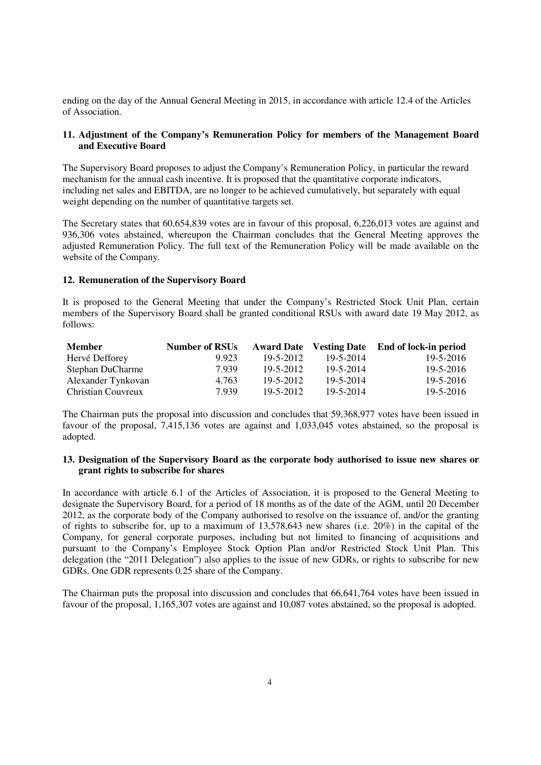ending on the day of the Annual General Meeting in 2015, in accordance with article 12.4 of the Articles of Association.

# **11. Adjustment of the Company's Remuneration Policy for members of the Management Board and Executive Board**

The Supervisory Board proposes to adjust the Company's Remuneration Policy, in particular the reward mechanism for the annual cash incentive. It is proposed that the quantitative corporate indicators, including net sales and EBITDA, are no longer to be achieved cumulatively, but separately with equal weight depending on the number of quantitative targets set.

The Secretary states that 60,654,839 votes are in favour of this proposal, 6,226,013 votes are against and 936,306 votes abstained, whereupon the Chairman concludes that the General Meeting approves the adjusted Remuneration Policy. The full text of the Remuneration Policy will be made available on the website of the Company.

#### **12. Remuneration of the Supervisory Board**

It is proposed to the General Meeting that under the Company's Restricted Stock Unit Plan, certain members of the Supervisory Board shall be granted conditional RSUs with award date 19 May 2012, as follows:

| <b>Member</b>      | <b>Number of RSUs</b> |                 |           | Award Date Vesting Date End of lock-in period |
|--------------------|-----------------------|-----------------|-----------|-----------------------------------------------|
| Hervé Defforey     | 9.923                 | 19-5-2012       | 19-5-2014 | $19 - 5 - 2016$                               |
| Stephan DuCharme   | 7.939                 | 19-5-2012       | 19-5-2014 | $19 - 5 - 2016$                               |
| Alexander Tynkovan | 4.763                 | 19-5-2012       | 19-5-2014 | $19 - 5 - 2016$                               |
| Christian Couvreux | 7.939                 | $19 - 5 - 2012$ | 19-5-2014 | $19 - 5 - 2016$                               |

The Chairman puts the proposal into discussion and concludes that 59,368,977 votes have been issued in favour of the proposal, 7,415,136 votes are against and 1,033,045 votes abstained, so the proposal is adopted.

#### **13. Designation of the Supervisory Board as the corporate body authorised to issue new shares or grant rights to subscribe for shares**

In accordance with article 6.1 of the Articles of Association, it is proposed to the General Meeting to designate the Supervisory Board, for a period of 18 months as of the date of the AGM, until 20 December 2012, as the corporate body of the Company authorised to resolve on the issuance of, and/or the granting of rights to subscribe for, up to a maximum of 13,578,643 new shares (i.e. 20%) in the capital of the Company, for general corporate purposes, including but not limited to financing of acquisitions and pursuant to the Company's Employee Stock Option Plan and/or Restricted Stock Unit Plan. This delegation (the "2011 Delegation") also applies to the issue of new GDRs, or rights to subscribe for new GDRs. One GDR represents 0.25 share of the Company.

The Chairman puts the proposal into discussion and concludes that 66,641,764 votes have been issued in favour of the proposal, 1,165,307 votes are against and 10,087 votes abstained, so the proposal is adopted.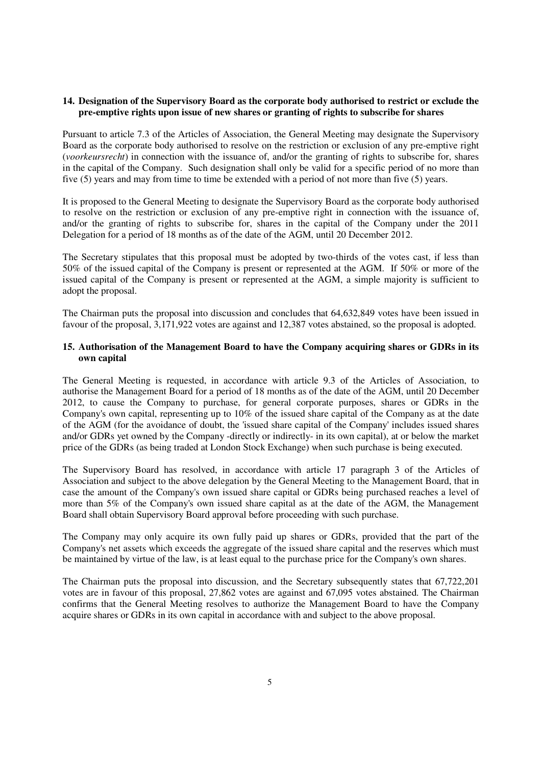### **14. Designation of the Supervisory Board as the corporate body authorised to restrict or exclude the pre-emptive rights upon issue of new shares or granting of rights to subscribe for shares**

Pursuant to article 7.3 of the Articles of Association, the General Meeting may designate the Supervisory Board as the corporate body authorised to resolve on the restriction or exclusion of any pre-emptive right (*voorkeursrecht*) in connection with the issuance of, and/or the granting of rights to subscribe for, shares in the capital of the Company. Such designation shall only be valid for a specific period of no more than five (5) years and may from time to time be extended with a period of not more than five (5) years.

It is proposed to the General Meeting to designate the Supervisory Board as the corporate body authorised to resolve on the restriction or exclusion of any pre-emptive right in connection with the issuance of, and/or the granting of rights to subscribe for, shares in the capital of the Company under the 2011 Delegation for a period of 18 months as of the date of the AGM, until 20 December 2012.

The Secretary stipulates that this proposal must be adopted by two-thirds of the votes cast, if less than 50% of the issued capital of the Company is present or represented at the AGM. If 50% or more of the issued capital of the Company is present or represented at the AGM, a simple majority is sufficient to adopt the proposal.

The Chairman puts the proposal into discussion and concludes that 64,632,849 votes have been issued in favour of the proposal, 3,171,922 votes are against and 12,387 votes abstained, so the proposal is adopted.

# **15. Authorisation of the Management Board to have the Company acquiring shares or GDRs in its own capital**

The General Meeting is requested, in accordance with article 9.3 of the Articles of Association, to authorise the Management Board for a period of 18 months as of the date of the AGM, until 20 December 2012, to cause the Company to purchase, for general corporate purposes, shares or GDRs in the Company's own capital, representing up to 10% of the issued share capital of the Company as at the date of the AGM (for the avoidance of doubt, the 'issued share capital of the Company' includes issued shares and/or GDRs yet owned by the Company -directly or indirectly- in its own capital), at or below the market price of the GDRs (as being traded at London Stock Exchange) when such purchase is being executed.

The Supervisory Board has resolved, in accordance with article 17 paragraph 3 of the Articles of Association and subject to the above delegation by the General Meeting to the Management Board, that in case the amount of the Company's own issued share capital or GDRs being purchased reaches a level of more than 5% of the Company's own issued share capital as at the date of the AGM, the Management Board shall obtain Supervisory Board approval before proceeding with such purchase.

The Company may only acquire its own fully paid up shares or GDRs, provided that the part of the Company's net assets which exceeds the aggregate of the issued share capital and the reserves which must be maintained by virtue of the law, is at least equal to the purchase price for the Company's own shares.

The Chairman puts the proposal into discussion, and the Secretary subsequently states that 67,722,201 votes are in favour of this proposal, 27,862 votes are against and 67,095 votes abstained. The Chairman confirms that the General Meeting resolves to authorize the Management Board to have the Company acquire shares or GDRs in its own capital in accordance with and subject to the above proposal.